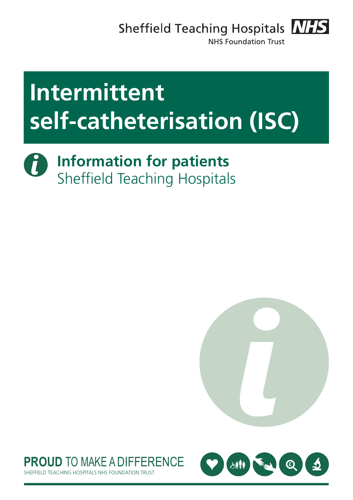Sheffield Teaching Hospitals **NHS** 



**NHS Foundation Trust** 

# **Intermittent self-catheterisation (ISC)**

d **Information for patients** Sheffield Teaching Hospitals





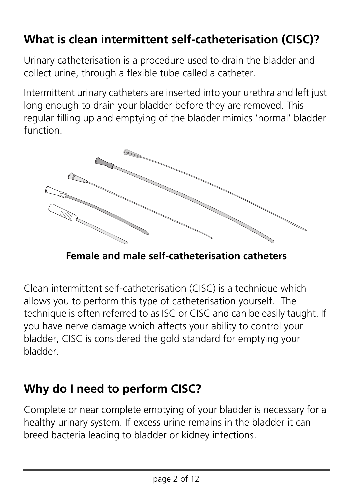## **What is clean intermittent self-catheterisation (CISC)?**

Urinary catheterisation is a procedure used to drain the bladder and collect urine, through a flexible tube called a catheter.

Intermittent urinary catheters are inserted into your urethra and left just long enough to drain your bladder before they are removed. This regular filling up and emptying of the bladder mimics 'normal' bladder function.



**Female and male self-catheterisation catheters**

Clean intermittent self-catheterisation (CISC) is a technique which allows you to perform this type of catheterisation yourself. The technique is often referred to as ISC or CISC and can be easily taught. If you have nerve damage which affects your ability to control your bladder, CISC is considered the gold standard for emptying your bladder.

## **Why do I need to perform CISC?**

Complete or near complete emptying of your bladder is necessary for a healthy urinary system. If excess urine remains in the bladder it can breed bacteria leading to bladder or kidney infections.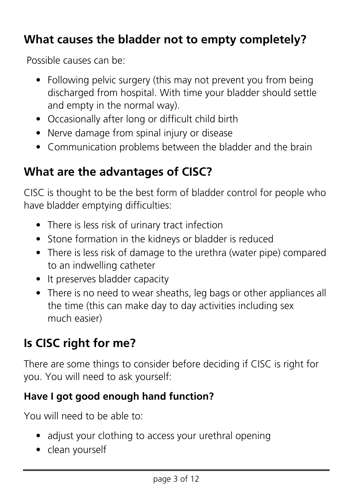## **What causes the bladder not to empty completely?**

Possible causes can be:

- Following pelvic surgery (this may not prevent you from being discharged from hospital. With time your bladder should settle and empty in the normal way).
- Occasionally after long or difficult child birth
- Nerve damage from spinal injury or disease
- Communication problems between the bladder and the brain

## **What are the advantages of CISC?**

CISC is thought to be the best form of bladder control for people who have bladder emptying difficulties:

- There is less risk of urinary tract infection
- Stone formation in the kidneys or bladder is reduced
- There is less risk of damage to the urethra (water pipe) compared to an indwelling catheter
- It preserves bladder capacity
- There is no need to wear sheaths, leg bags or other appliances all the time (this can make day to day activities including sex much easier)

## **Is CISC right for me?**

There are some things to consider before deciding if CISC is right for you. You will need to ask yourself:

### **Have I got good enough hand function?**

You will need to be able to:

- adjust your clothing to access your urethral opening
- clean yourself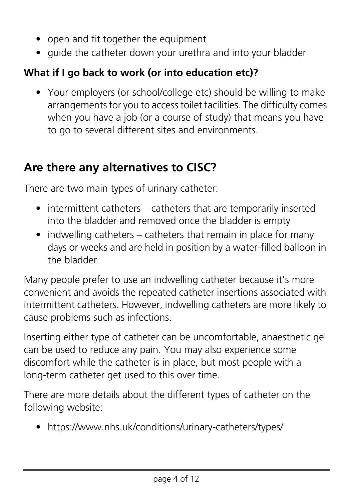- open and fit together the equipment
- quide the catheter down your urethra and into your bladder

### **What if I go back to work (or into education etc)?**

• Your employers (or school/college etc) should be willing to make arrangements for you to access toilet facilities. The difficulty comes when you have a job (or a course of study) that means you have to go to several different sites and environments.

## **Are there any alternatives to CISC?**

There are two main types of urinary catheter:

- intermittent catheters catheters that are temporarily inserted into the bladder and removed once the bladder is empty
- indwelling catheters catheters that remain in place for many days or weeks and are held in position by a water-filled balloon in the bladder

Many people prefer to use an indwelling catheter because it's more convenient and avoids the repeated catheter insertions associated with intermittent catheters. However, indwelling catheters are more likely to cause problems such as infections.

Inserting either type of catheter can be uncomfortable, anaesthetic gel can be used to reduce any pain. You may also experience some discomfort while the catheter is in place, but most people with a long-term catheter get used to this over time.

There are more details about the different types of catheter on the following website:

• https://www.nhs.uk/conditions/urinary-catheters/types/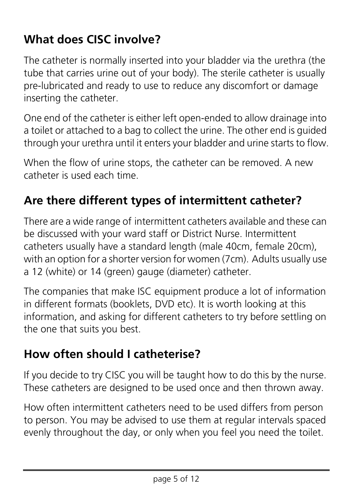## **What does CISC involve?**

The catheter is normally inserted into your bladder via the urethra (the tube that carries urine out of your body). The sterile catheter is usually pre-lubricated and ready to use to reduce any discomfort or damage inserting the catheter.

One end of the catheter is either left open-ended to allow drainage into a toilet or attached to a bag to collect the urine. The other end is guided through your urethra until it enters your bladder and urine starts to flow.

When the flow of urine stops, the catheter can be removed. A new catheter is used each time.

## **Are there different types of intermittent catheter?**

There are a wide range of intermittent catheters available and these can be discussed with your ward staff or District Nurse. Intermittent catheters usually have a standard length (male 40cm, female 20cm), with an option for a shorter version for women (7cm). Adults usually use a 12 (white) or 14 (green) gauge (diameter) catheter.

The companies that make ISC equipment produce a lot of information in different formats (booklets, DVD etc). It is worth looking at this information, and asking for different catheters to try before settling on the one that suits you best.

## **How often should I catheterise?**

If you decide to try CISC you will be taught how to do this by the nurse. These catheters are designed to be used once and then thrown away.

How often intermittent catheters need to be used differs from person to person. You may be advised to use them at regular intervals spaced evenly throughout the day, or only when you feel you need the toilet.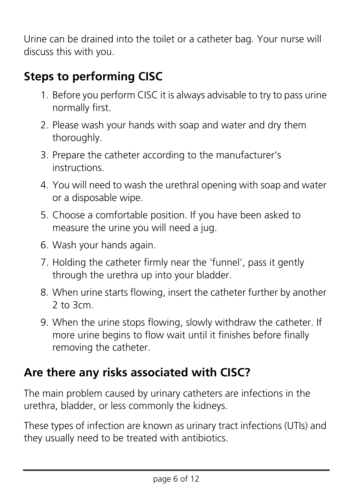Urine can be drained into the toilet or a catheter bag. Your nurse will discuss this with you.

## **Steps to performing CISC**

- 1. Before you perform CISC it is always advisable to try to pass urine normally first.
- 2. Please wash your hands with soap and water and dry them thoroughly.
- 3. Prepare the catheter according to the manufacturer's instructions.
- 4. You will need to wash the urethral opening with soap and water or a disposable wipe.
- 5. Choose a comfortable position. If you have been asked to measure the urine you will need a jug.
- 6. Wash your hands again.
- 7. Holding the catheter firmly near the 'funnel', pass it gently through the urethra up into your bladder.
- 8. When urine starts flowing, insert the catheter further by another  $2$  to  $3cm$
- 9. When the urine stops flowing, slowly withdraw the catheter. If more urine begins to flow wait until it finishes before finally removing the catheter.

## **Are there any risks associated with CISC?**

The main problem caused by urinary catheters are infections in the urethra, bladder, or less commonly the kidneys.

These types of infection are known as urinary tract infections (UTIs) and they usually need to be treated with antibiotics.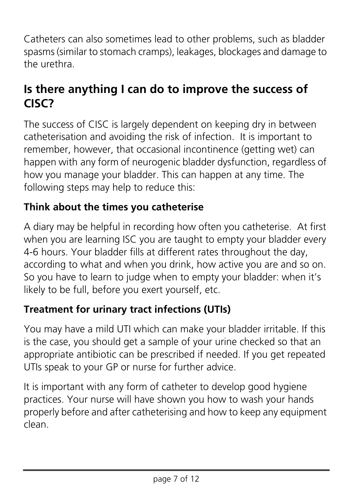Catheters can also sometimes lead to other problems, such as bladder spasms (similar to stomach cramps), leakages, blockages and damage to the urethra.

## **Is there anything I can do to improve the success of CISC?**

The success of CISC is largely dependent on keeping dry in between catheterisation and avoiding the risk of infection. It is important to remember, however, that occasional incontinence (getting wet) can happen with any form of neurogenic bladder dysfunction, regardless of how you manage your bladder. This can happen at any time. The following steps may help to reduce this:

### **Think about the times you catheterise**

A diary may be helpful in recording how often you catheterise. At first when you are learning ISC you are taught to empty your bladder every 4-6 hours. Your bladder fills at different rates throughout the day, according to what and when you drink, how active you are and so on. So you have to learn to judge when to empty your bladder: when it's likely to be full, before you exert yourself, etc.

#### **Treatment for urinary tract infections (UTIs)**

You may have a mild UTI which can make your bladder irritable. If this is the case, you should get a sample of your urine checked so that an appropriate antibiotic can be prescribed if needed. If you get repeated UTIs speak to your GP or nurse for further advice.

It is important with any form of catheter to develop good hygiene practices. Your nurse will have shown you how to wash your hands properly before and after catheterising and how to keep any equipment clean.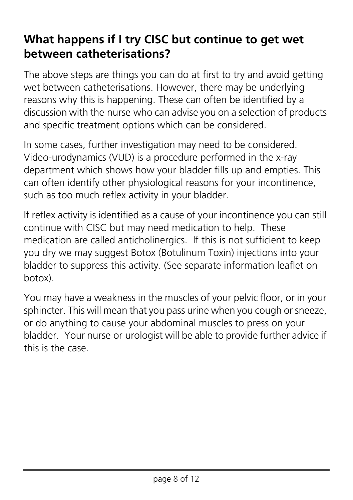## **What happens if I try CISC but continue to get wet between catheterisations?**

The above steps are things you can do at first to try and avoid getting wet between catheterisations. However, there may be underlying reasons why this is happening. These can often be identified by a discussion with the nurse who can advise you on a selection of products and specific treatment options which can be considered.

In some cases, further investigation may need to be considered. Video-urodynamics (VUD) is a procedure performed in the x-ray department which shows how your bladder fills up and empties. This can often identify other physiological reasons for your incontinence, such as too much reflex activity in your bladder.

If reflex activity is identified as a cause of your incontinence you can still continue with CISC but may need medication to help. These medication are called anticholinergics. If this is not sufficient to keep you dry we may suggest Botox (Botulinum Toxin) injections into your bladder to suppress this activity. (See separate information leaflet on botox).

You may have a weakness in the muscles of your pelvic floor, or in your sphincter. This will mean that you pass urine when you cough or sneeze, or do anything to cause your abdominal muscles to press on your bladder. Your nurse or urologist will be able to provide further advice if this is the case.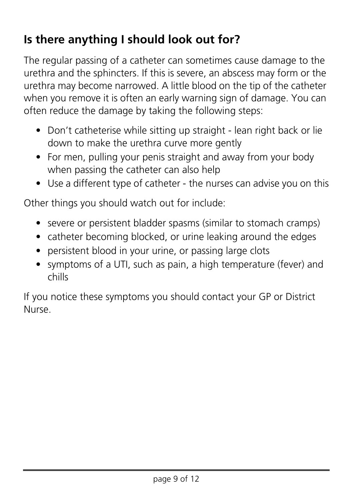## **Is there anything I should look out for?**

The regular passing of a catheter can sometimes cause damage to the urethra and the sphincters. If this is severe, an abscess may form or the urethra may become narrowed. A little blood on the tip of the catheter when you remove it is often an early warning sign of damage. You can often reduce the damage by taking the following steps:

- Don't catheterise while sitting up straight lean right back or lie down to make the urethra curve more gently
- For men, pulling your penis straight and away from your body when passing the catheter can also help
- Use a different type of catheter the nurses can advise you on this

Other things you should watch out for include:

- severe or persistent bladder spasms (similar to stomach cramps)
- catheter becoming blocked, or urine leaking around the edges
- persistent blood in your urine, or passing large clots
- symptoms of a UTI, such as pain, a high temperature (fever) and chills

If you notice these symptoms you should contact your GP or District Nurse.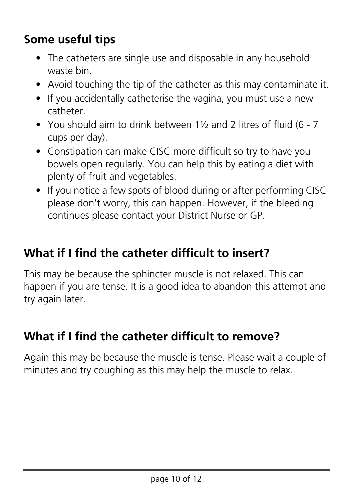## **Some useful tips**

- The catheters are single use and disposable in any household waste bin.
- Avoid touching the tip of the catheter as this may contaminate it.
- If you accidentally catheterise the vagina, you must use a new catheter.
- You should aim to drink between 1½ and 2 litres of fluid (6 7 cups per day).
- Constipation can make CISC more difficult so try to have you bowels open regularly. You can help this by eating a diet with plenty of fruit and vegetables.
- If you notice a few spots of blood during or after performing CISC please don't worry, this can happen. However, if the bleeding continues please contact your District Nurse or GP.

## **What if I find the catheter difficult to insert?**

This may be because the sphincter muscle is not relaxed. This can happen if you are tense. It is a good idea to abandon this attempt and try again later.

## **What if I find the catheter difficult to remove?**

Again this may be because the muscle is tense. Please wait a couple of minutes and try coughing as this may help the muscle to relax.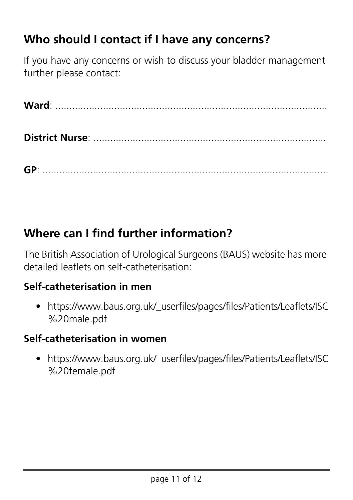## **Who should I contact if I have any concerns?**

If you have any concerns or wish to discuss your bladder management further please contact:

**Ward**: ................................................................................................. **District Nurse**: ...................................................................................

**GP**: ......................................................................................................

## **Where can I find further information?**

The British Association of Urological Surgeons (BAUS) website has more detailed leaflets on self-catheterisation:

#### **Self-catheterisation in men**

• https://www.baus.org.uk/\_userfiles/pages/files/Patients/Leaflets/ISC %20male.pdf

#### **Self-catheterisation in women**

• https://www.baus.org.uk/ userfiles/pages/files/Patients/Leaflets/ISC [%20female.pdf](https://www.baus.org.uk/_userfiles/pages/files/Patients/Leaflets/ISC%20female.pdf)